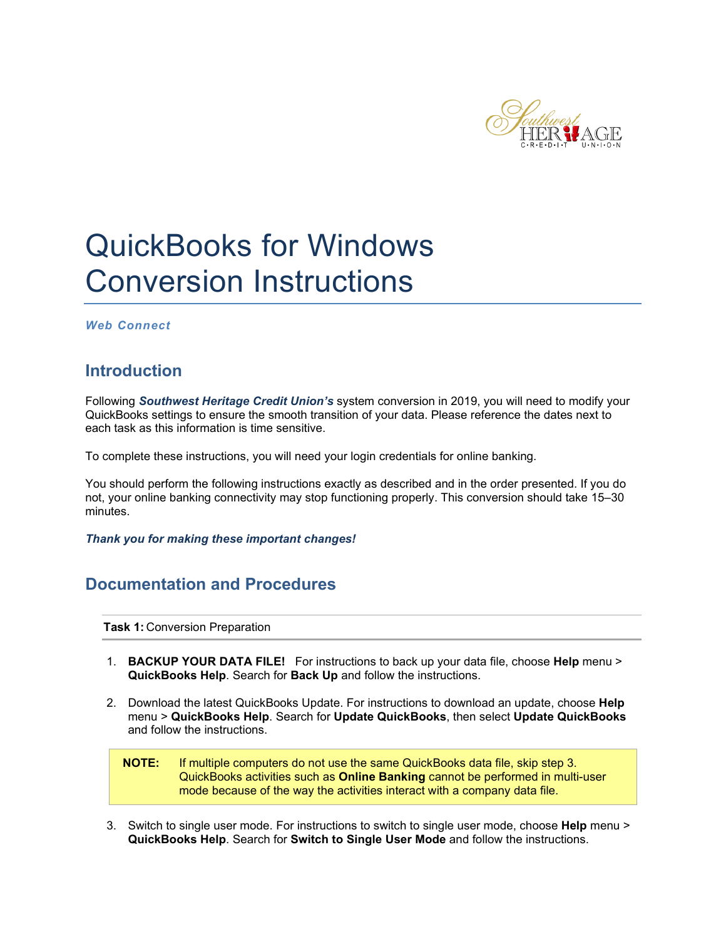

# QuickBooks for Windows Conversion Instructions

*Web Connect*

## **Introduction**

Following *Southwest Heritage Credit Union's* system conversion in 2019, you will need to modify your QuickBooks settings to ensure the smooth transition of your data. Please reference the dates next to each task as this information is time sensitive.

To complete these instructions, you will need your login credentials for online banking.

You should perform the following instructions exactly as described and in the order presented. If you do not, your online banking connectivity may stop functioning properly. This conversion should take 15–30 minutes.

*Thank you for making these important changes!*

## **Documentation and Procedures**

**Task 1:** Conversion Preparation

- 1. **BACKUP YOUR DATA FILE!** For instructions to back up your data file, choose **Help** menu > **QuickBooks Help**. Search for **Back Up** and follow the instructions.
- 2. Download the latest QuickBooks Update. For instructions to download an update, choose **Help** menu > **QuickBooks Help**. Search for **Update QuickBooks**, then select **Update QuickBooks** and follow the instructions.

**NOTE:** If multiple computers do not use the same QuickBooks data file, skip step 3. QuickBooks activities such as **Online Banking** cannot be performed in multi-user mode because of the way the activities interact with a company data file.

3. Switch to single user mode. For instructions to switch to single user mode, choose **Help** menu > **QuickBooks Help**. Search for **Switch to Single User Mode** and follow the instructions.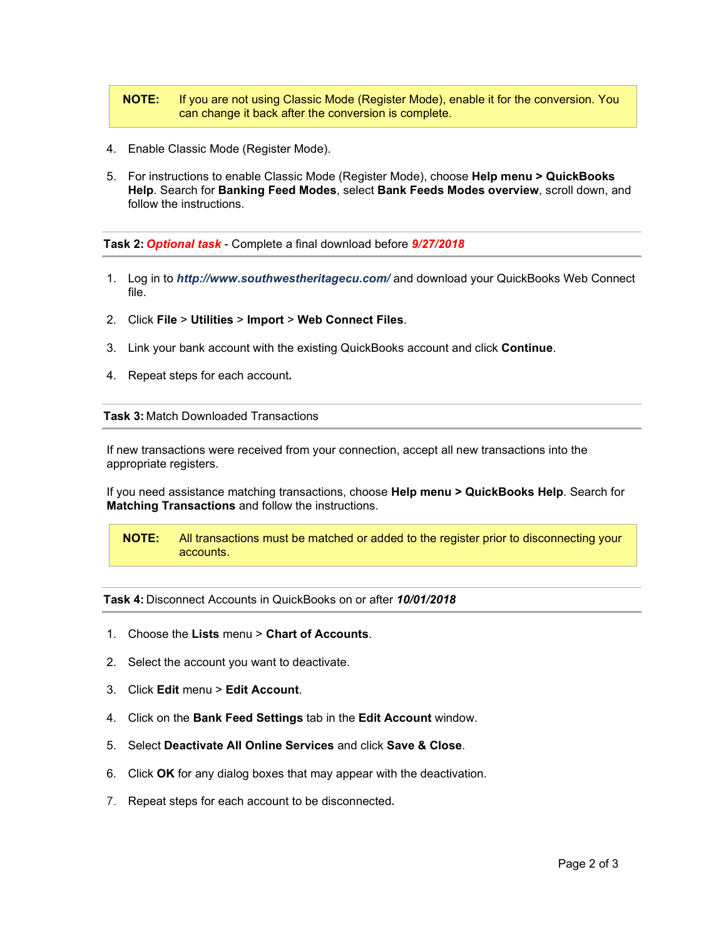### **NOTE:** If you are not using Classic Mode (Register Mode), enable it for the conversion. You can change it back after the conversion is complete.

- 4. Enable Classic Mode (Register Mode).
- 5. For instructions to enable Classic Mode (Register Mode), choose **Help menu > QuickBooks Help**. Search for **Banking Feed Modes**, select **Bank Feeds Modes overview**, scroll down, and follow the instructions.

**Task 2:** *Optional task* - Complete a final download before *9/27/2018*

- 1. Log in to *http://www.southwestheritagecu.com/* and download your QuickBooks Web Connect file.
- 2. Click **File** > **Utilities** > **Import** > **Web Connect Files**.
- 3. Link your bank account with the existing QuickBooks account and click **Continue**.
- 4. Repeat steps for each account*.*

**Task 3:** Match Downloaded Transactions

If new transactions were received from your connection, accept all new transactions into the appropriate registers.

If you need assistance matching transactions, choose **Help menu > QuickBooks Help**. Search for **Matching Transactions** and follow the instructions.

**NOTE:** All transactions must be matched or added to the register prior to disconnecting your accounts.

**Task 4:** Disconnect Accounts in QuickBooks on or after *10/01/2018*

- 1. Choose the **Lists** menu > **Chart of Accounts**.
- 2. Select the account you want to deactivate.
- 3. Click **Edit** menu > **Edit Account**.
- 4. Click on the **Bank Feed Settings** tab in the **Edit Account** window.
- 5. Select **Deactivate All Online Services** and click **Save & Close**.
- 6. Click **OK** for any dialog boxes that may appear with the deactivation.
- 7. Repeat steps for each account to be disconnected*.*